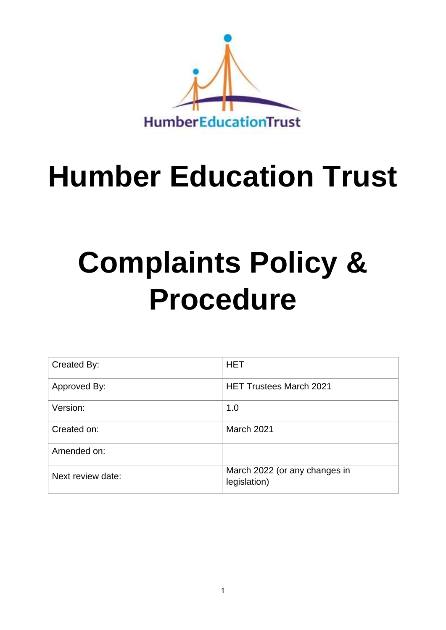

## **Humber Education Trust**

# **Complaints Policy & Procedure**

| Created By:       | <b>HET</b>                                    |
|-------------------|-----------------------------------------------|
| Approved By:      | <b>HET Trustees March 2021</b>                |
| Version:          | 1.0                                           |
| Created on:       | March 2021                                    |
| Amended on:       |                                               |
| Next review date: | March 2022 (or any changes in<br>legislation) |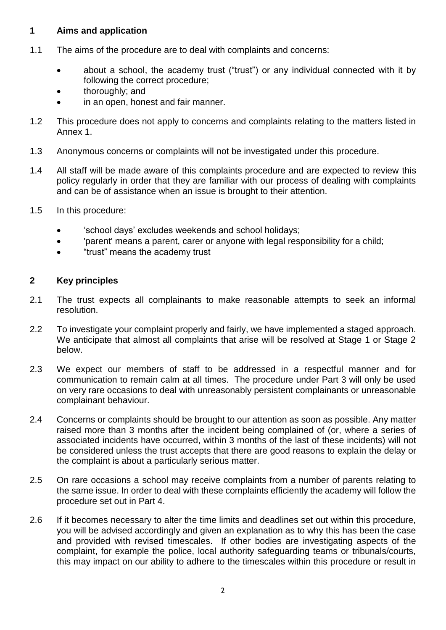#### **1 Aims and application**

- 1.1 The aims of the procedure are to deal with complaints and concerns:
	- about a school, the academy trust ("trust") or any individual connected with it by following the correct procedure;
	- thoroughly; and
	- in an open, honest and fair manner.
- 1.2 This procedure does not apply to concerns and complaints relating to the matters listed in Annex 1.
- 1.3 Anonymous concerns or complaints will not be investigated under this procedure.
- 1.4 All staff will be made aware of this complaints procedure and are expected to review this policy regularly in order that they are familiar with our process of dealing with complaints and can be of assistance when an issue is brought to their attention.
- 1.5 In this procedure:
	- 'school days' excludes weekends and school holidays;
	- 'parent' means a parent, carer or anyone with legal responsibility for a child;
	- "trust" means the academy trust

#### **2 Key principles**

- 2.1 The trust expects all complainants to make reasonable attempts to seek an informal resolution.
- 2.2 To investigate your complaint properly and fairly, we have implemented a staged approach. We anticipate that almost all complaints that arise will be resolved at Stage 1 or Stage 2 below.
- 2.3 We expect our members of staff to be addressed in a respectful manner and for communication to remain calm at all times. The procedure under Part 3 will only be used on very rare occasions to deal with unreasonably persistent complainants or unreasonable complainant behaviour.
- 2.4 Concerns or complaints should be brought to our attention as soon as possible. Any matter raised more than 3 months after the incident being complained of (or, where a series of associated incidents have occurred, within 3 months of the last of these incidents) will not be considered unless the trust accepts that there are good reasons to explain the delay or the complaint is about a particularly serious matter.
- 2.5 On rare occasions a school may receive complaints from a number of parents relating to the same issue. In order to deal with these complaints efficiently the academy will follow the procedure set out in Part 4.
- 2.6 If it becomes necessary to alter the time limits and deadlines set out within this procedure, you will be advised accordingly and given an explanation as to why this has been the case and provided with revised timescales. If other bodies are investigating aspects of the complaint, for example the police, local authority safeguarding teams or tribunals/courts, this may impact on our ability to adhere to the timescales within this procedure or result in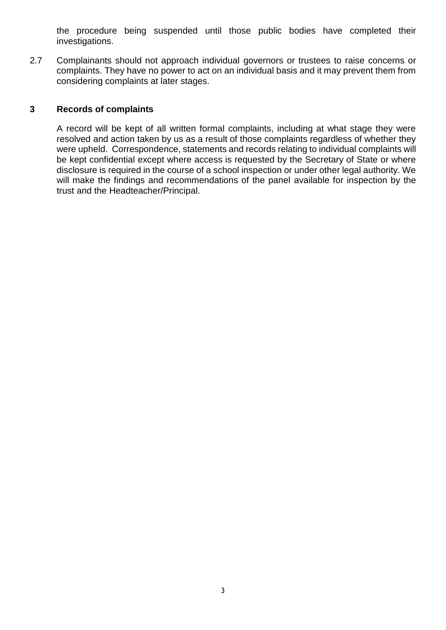the procedure being suspended until those public bodies have completed their investigations.

2.7 Complainants should not approach individual governors or trustees to raise concerns or complaints. They have no power to act on an individual basis and it may prevent them from considering complaints at later stages.

#### **3 Records of complaints**

A record will be kept of all written formal complaints, including at what stage they were resolved and action taken by us as a result of those complaints regardless of whether they were upheld. Correspondence, statements and records relating to individual complaints will be kept confidential except where access is requested by the Secretary of State or where disclosure is required in the course of a school inspection or under other legal authority. We will make the findings and recommendations of the panel available for inspection by the trust and the Headteacher/Principal.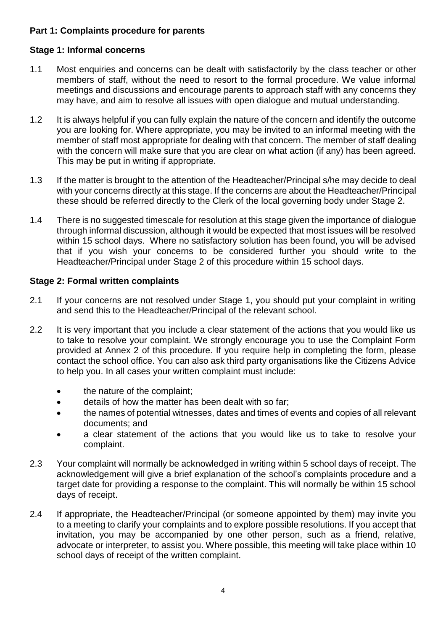#### **Part 1: Complaints procedure for parents**

#### **Stage 1: Informal concerns**

- 1.1 Most enquiries and concerns can be dealt with satisfactorily by the class teacher or other members of staff, without the need to resort to the formal procedure. We value informal meetings and discussions and encourage parents to approach staff with any concerns they may have, and aim to resolve all issues with open dialogue and mutual understanding.
- 1.2 It is always helpful if you can fully explain the nature of the concern and identify the outcome you are looking for. Where appropriate, you may be invited to an informal meeting with the member of staff most appropriate for dealing with that concern. The member of staff dealing with the concern will make sure that you are clear on what action (if any) has been agreed. This may be put in writing if appropriate.
- 1.3 If the matter is brought to the attention of the Headteacher/Principal s/he may decide to deal with your concerns directly at this stage. If the concerns are about the Headteacher/Principal these should be referred directly to the Clerk of the local governing body under Stage 2.
- 1.4 There is no suggested timescale for resolution at this stage given the importance of dialogue through informal discussion, although it would be expected that most issues will be resolved within 15 school days. Where no satisfactory solution has been found, you will be advised that if you wish your concerns to be considered further you should write to the Headteacher/Principal under Stage 2 of this procedure within 15 school days.

#### **Stage 2: Formal written complaints**

- 2.1 If your concerns are not resolved under Stage 1, you should put your complaint in writing and send this to the Headteacher/Principal of the relevant school.
- 2.2 It is very important that you include a clear statement of the actions that you would like us to take to resolve your complaint. We strongly encourage you to use the Complaint Form provided at Annex 2 of this procedure. If you require help in completing the form, please contact the school office. You can also ask third party organisations like the Citizens Advice to help you. In all cases your written complaint must include:
	- the nature of the complaint;
	- details of how the matter has been dealt with so far;
	- the names of potential witnesses, dates and times of events and copies of all relevant documents; and
	- a clear statement of the actions that you would like us to take to resolve your complaint.
- 2.3 Your complaint will normally be acknowledged in writing within 5 school days of receipt. The acknowledgement will give a brief explanation of the school's complaints procedure and a target date for providing a response to the complaint. This will normally be within 15 school days of receipt.
- 2.4 If appropriate, the Headteacher/Principal (or someone appointed by them) may invite you to a meeting to clarify your complaints and to explore possible resolutions. If you accept that invitation, you may be accompanied by one other person, such as a friend, relative, advocate or interpreter, to assist you. Where possible, this meeting will take place within 10 school days of receipt of the written complaint.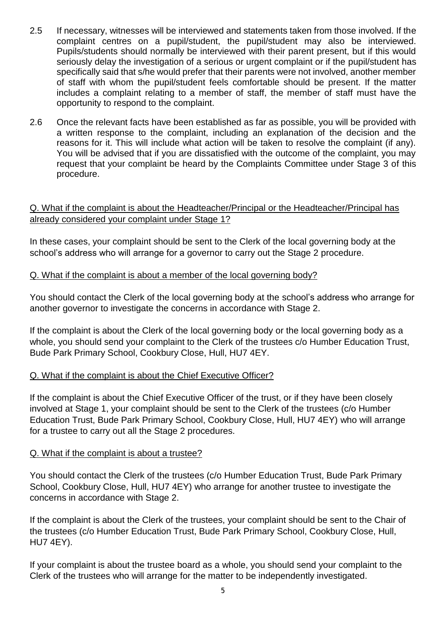- 2.5 If necessary, witnesses will be interviewed and statements taken from those involved. If the complaint centres on a pupil/student, the pupil/student may also be interviewed. Pupils/students should normally be interviewed with their parent present, but if this would seriously delay the investigation of a serious or urgent complaint or if the pupil/student has specifically said that s/he would prefer that their parents were not involved, another member of staff with whom the pupil/student feels comfortable should be present. If the matter includes a complaint relating to a member of staff, the member of staff must have the opportunity to respond to the complaint.
- 2.6 Once the relevant facts have been established as far as possible, you will be provided with a written response to the complaint, including an explanation of the decision and the reasons for it. This will include what action will be taken to resolve the complaint (if any). You will be advised that if you are dissatisfied with the outcome of the complaint, you may request that your complaint be heard by the Complaints Committee under Stage 3 of this procedure.

#### Q. What if the complaint is about the Headteacher/Principal or the Headteacher/Principal has already considered your complaint under Stage 1?

In these cases, your complaint should be sent to the Clerk of the local governing body at the school's address who will arrange for a governor to carry out the Stage 2 procedure.

#### Q. What if the complaint is about a member of the local governing body?

You should contact the Clerk of the local governing body at the school's address who arrange for another governor to investigate the concerns in accordance with Stage 2.

If the complaint is about the Clerk of the local governing body or the local governing body as a whole, you should send your complaint to the Clerk of the trustees c/o Humber Education Trust, Bude Park Primary School, Cookbury Close, Hull, HU7 4EY.

#### Q. What if the complaint is about the Chief Executive Officer?

If the complaint is about the Chief Executive Officer of the trust, or if they have been closely involved at Stage 1, your complaint should be sent to the Clerk of the trustees (c/o Humber Education Trust, Bude Park Primary School, Cookbury Close, Hull, HU7 4EY) who will arrange for a trustee to carry out all the Stage 2 procedures.

#### Q. What if the complaint is about a trustee?

You should contact the Clerk of the trustees (c/o Humber Education Trust, Bude Park Primary School, Cookbury Close, Hull, HU7 4EY) who arrange for another trustee to investigate the concerns in accordance with Stage 2.

If the complaint is about the Clerk of the trustees, your complaint should be sent to the Chair of the trustees (c/o Humber Education Trust, Bude Park Primary School, Cookbury Close, Hull, HU7 4EY).

If your complaint is about the trustee board as a whole, you should send your complaint to the Clerk of the trustees who will arrange for the matter to be independently investigated.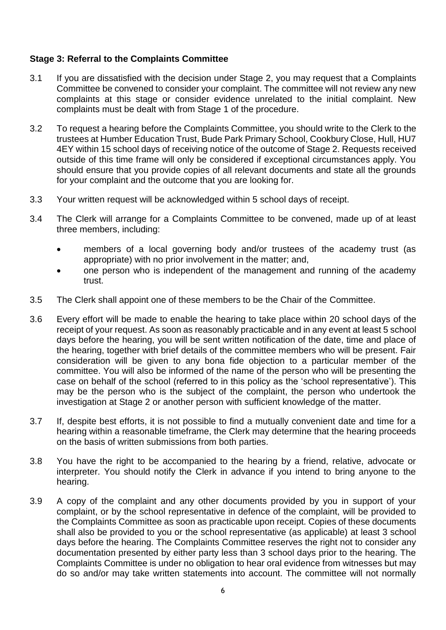#### **Stage 3: Referral to the Complaints Committee**

- 3.1 If you are dissatisfied with the decision under Stage 2, you may request that a Complaints Committee be convened to consider your complaint. The committee will not review any new complaints at this stage or consider evidence unrelated to the initial complaint. New complaints must be dealt with from Stage 1 of the procedure.
- 3.2 To request a hearing before the Complaints Committee, you should write to the Clerk to the trustees at Humber Education Trust, Bude Park Primary School, Cookbury Close, Hull, HU7 4EY within 15 school days of receiving notice of the outcome of Stage 2. Requests received outside of this time frame will only be considered if exceptional circumstances apply. You should ensure that you provide copies of all relevant documents and state all the grounds for your complaint and the outcome that you are looking for.
- 3.3 Your written request will be acknowledged within 5 school days of receipt.
- 3.4 The Clerk will arrange for a Complaints Committee to be convened, made up of at least three members, including:
	- members of a local governing body and/or trustees of the academy trust (as appropriate) with no prior involvement in the matter; and,
	- one person who is independent of the management and running of the academy trust.
- 3.5 The Clerk shall appoint one of these members to be the Chair of the Committee.
- 3.6 Every effort will be made to enable the hearing to take place within 20 school days of the receipt of your request. As soon as reasonably practicable and in any event at least 5 school days before the hearing, you will be sent written notification of the date, time and place of the hearing, together with brief details of the committee members who will be present. Fair consideration will be given to any bona fide objection to a particular member of the committee. You will also be informed of the name of the person who will be presenting the case on behalf of the school (referred to in this policy as the 'school representative'). This may be the person who is the subject of the complaint, the person who undertook the investigation at Stage 2 or another person with sufficient knowledge of the matter.
- 3.7 If, despite best efforts, it is not possible to find a mutually convenient date and time for a hearing within a reasonable timeframe, the Clerk may determine that the hearing proceeds on the basis of written submissions from both parties.
- 3.8 You have the right to be accompanied to the hearing by a friend, relative, advocate or interpreter. You should notify the Clerk in advance if you intend to bring anyone to the hearing.
- 3.9 A copy of the complaint and any other documents provided by you in support of your complaint, or by the school representative in defence of the complaint, will be provided to the Complaints Committee as soon as practicable upon receipt. Copies of these documents shall also be provided to you or the school representative (as applicable) at least 3 school days before the hearing. The Complaints Committee reserves the right not to consider any documentation presented by either party less than 3 school days prior to the hearing. The Complaints Committee is under no obligation to hear oral evidence from witnesses but may do so and/or may take written statements into account. The committee will not normally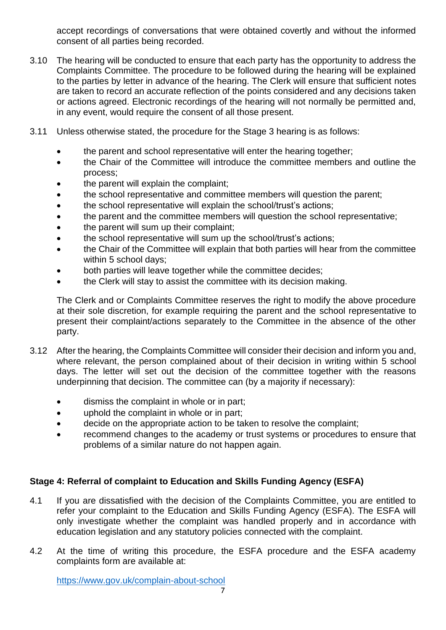accept recordings of conversations that were obtained covertly and without the informed consent of all parties being recorded.

- 3.10 The hearing will be conducted to ensure that each party has the opportunity to address the Complaints Committee. The procedure to be followed during the hearing will be explained to the parties by letter in advance of the hearing. The Clerk will ensure that sufficient notes are taken to record an accurate reflection of the points considered and any decisions taken or actions agreed. Electronic recordings of the hearing will not normally be permitted and, in any event, would require the consent of all those present.
- 3.11 Unless otherwise stated, the procedure for the Stage 3 hearing is as follows:
	- the parent and school representative will enter the hearing together;
	- the Chair of the Committee will introduce the committee members and outline the process;
	- the parent will explain the complaint;
	- the school representative and committee members will question the parent;
	- the school representative will explain the school/trust's actions;
	- the parent and the committee members will question the school representative;
	- the parent will sum up their complaint;
	- the school representative will sum up the school/trust's actions;
	- the Chair of the Committee will explain that both parties will hear from the committee within 5 school days;
	- both parties will leave together while the committee decides;
	- the Clerk will stay to assist the committee with its decision making.

The Clerk and or Complaints Committee reserves the right to modify the above procedure at their sole discretion, for example requiring the parent and the school representative to present their complaint/actions separately to the Committee in the absence of the other party.

- 3.12 After the hearing, the Complaints Committee will consider their decision and inform you and, where relevant, the person complained about of their decision in writing within 5 school days. The letter will set out the decision of the committee together with the reasons underpinning that decision. The committee can (by a majority if necessary):
	- dismiss the complaint in whole or in part;
	- uphold the complaint in whole or in part;
	- decide on the appropriate action to be taken to resolve the complaint;
	- recommend changes to the academy or trust systems or procedures to ensure that problems of a similar nature do not happen again.

#### **Stage 4: Referral of complaint to Education and Skills Funding Agency (ESFA)**

- 4.1 If you are dissatisfied with the decision of the Complaints Committee, you are entitled to refer your complaint to the Education and Skills Funding Agency (ESFA). The ESFA will only investigate whether the complaint was handled properly and in accordance with education legislation and any statutory policies connected with the complaint.
- 4.2 At the time of writing this procedure, the ESFA procedure and the ESFA academy complaints form are available at:

<https://www.gov.uk/complain-about-school>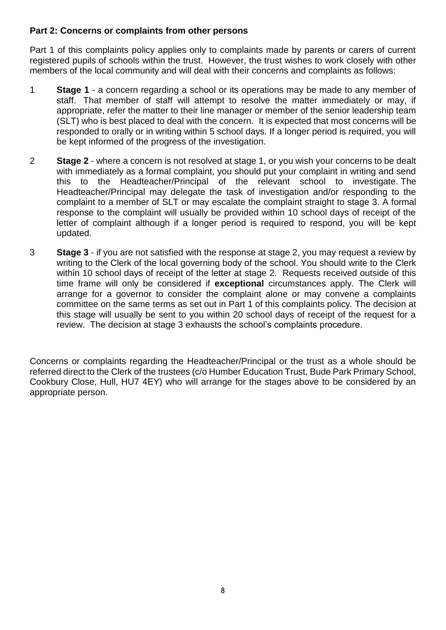#### **Part 2: Concerns or complaints from other persons**

Part 1 of this complaints policy applies only to complaints made by parents or carers of current registered pupils of schools within the trust. However, the trust wishes to work closely with other members of the local community and will deal with their concerns and complaints as follows:

- 1 **Stage 1** a concern regarding a school or its operations may be made to any member of staff. That member of staff will attempt to resolve the matter immediately or may, if appropriate, refer the matter to their line manager or member of the senior leadership team (SLT) who is best placed to deal with the concern. It is expected that most concerns will be responded to orally or in writing within 5 school days. If a longer period is required, you will be kept informed of the progress of the investigation.
- 2 **Stage 2** where a concern is not resolved at stage 1, or you wish your concerns to be dealt with immediately as a formal complaint, you should put your complaint in writing and send this to the Headteacher/Principal of the relevant school to investigate. The Headteacher/Principal may delegate the task of investigation and/or responding to the complaint to a member of SLT or may escalate the complaint straight to stage 3. A formal response to the complaint will usually be provided within 10 school days of receipt of the letter of complaint although if a longer period is required to respond, you will be kept updated.
- 3 **Stage 3** if you are not satisfied with the response at stage 2, you may request a review by writing to the Clerk of the local governing body of the school. You should write to the Clerk within 10 school days of receipt of the letter at stage 2. Requests received outside of this time frame will only be considered if **exceptional** circumstances apply. The Clerk will arrange for a governor to consider the complaint alone or may convene a complaints committee on the same terms as set out in Part 1 of this complaints policy. The decision at this stage will usually be sent to you within 20 school days of receipt of the request for a review. The decision at stage 3 exhausts the school's complaints procedure.

Concerns or complaints regarding the Headteacher/Principal or the trust as a whole should be referred direct to the Clerk of the trustees (c/o Humber Education Trust, Bude Park Primary School, Cookbury Close, Hull, HU7 4EY) who will arrange for the stages above to be considered by an appropriate person.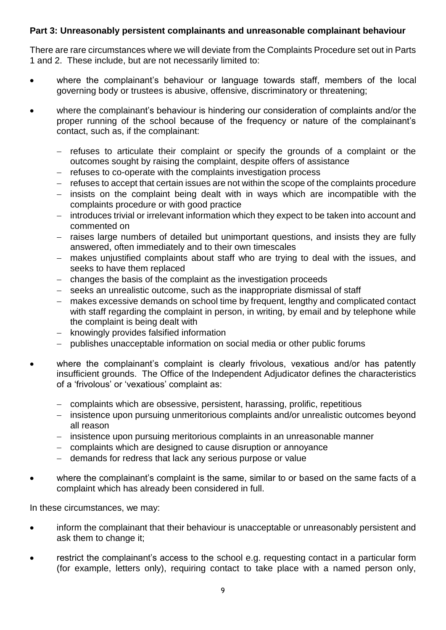#### **Part 3: Unreasonably persistent complainants and unreasonable complainant behaviour**

There are rare circumstances where we will deviate from the Complaints Procedure set out in Parts 1 and 2. These include, but are not necessarily limited to:

- where the complainant's behaviour or language towards staff, members of the local governing body or trustees is abusive, offensive, discriminatory or threatening;
- where the complainant's behaviour is hindering our consideration of complaints and/or the proper running of the school because of the frequency or nature of the complainant's contact, such as, if the complainant:
	- − refuses to articulate their complaint or specify the grounds of a complaint or the outcomes sought by raising the complaint, despite offers of assistance
	- − refuses to co-operate with the complaints investigation process
	- − refuses to accept that certain issues are not within the scope of the complaints procedure
	- − insists on the complaint being dealt with in ways which are incompatible with the complaints procedure or with good practice
	- − introduces trivial or irrelevant information which they expect to be taken into account and commented on
	- − raises large numbers of detailed but unimportant questions, and insists they are fully answered, often immediately and to their own timescales
	- − makes unjustified complaints about staff who are trying to deal with the issues, and seeks to have them replaced
	- − changes the basis of the complaint as the investigation proceeds
	- − seeks an unrealistic outcome, such as the inappropriate dismissal of staff
	- − makes excessive demands on school time by frequent, lengthy and complicated contact with staff regarding the complaint in person, in writing, by email and by telephone while the complaint is being dealt with
	- − knowingly provides falsified information
	- publishes unacceptable information on social media or other public forums
- where the complainant's complaint is clearly frivolous, vexatious and/or has patently insufficient grounds. The Office of the Independent Adjudicator defines the characteristics of a 'frivolous' or 'vexatious' complaint as:
	- − complaints which are obsessive, persistent, harassing, prolific, repetitious
	- − insistence upon pursuing unmeritorious complaints and/or unrealistic outcomes beyond all reason
	- − insistence upon pursuing meritorious complaints in an unreasonable manner
	- − complaints which are designed to cause disruption or annoyance
	- − demands for redress that lack any serious purpose or value
- where the complainant's complaint is the same, similar to or based on the same facts of a complaint which has already been considered in full.

In these circumstances, we may:

- inform the complainant that their behaviour is unacceptable or unreasonably persistent and ask them to change it;
- restrict the complainant's access to the school e.g. requesting contact in a particular form (for example, letters only), requiring contact to take place with a named person only,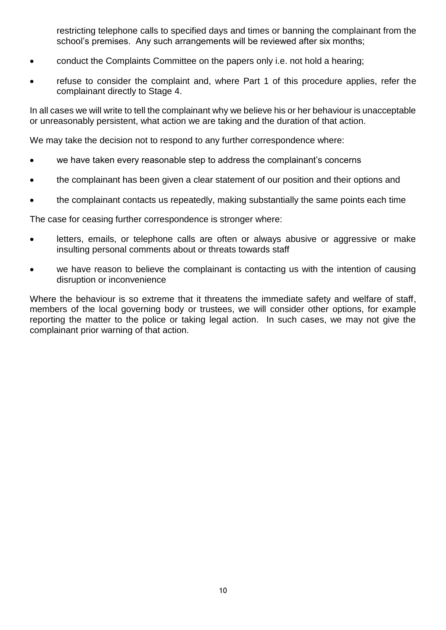restricting telephone calls to specified days and times or banning the complainant from the school's premises. Any such arrangements will be reviewed after six months;

- conduct the Complaints Committee on the papers only i.e. not hold a hearing;
- refuse to consider the complaint and, where Part 1 of this procedure applies, refer the complainant directly to Stage 4.

In all cases we will write to tell the complainant why we believe his or her behaviour is unacceptable or unreasonably persistent, what action we are taking and the duration of that action.

We may take the decision not to respond to any further correspondence where:

- we have taken every reasonable step to address the complainant's concerns
- the complainant has been given a clear statement of our position and their options and
- the complainant contacts us repeatedly, making substantially the same points each time

The case for ceasing further correspondence is stronger where:

- letters, emails, or telephone calls are often or always abusive or aggressive or make insulting personal comments about or threats towards staff
- we have reason to believe the complainant is contacting us with the intention of causing disruption or inconvenience

Where the behaviour is so extreme that it threatens the immediate safety and welfare of staff, members of the local governing body or trustees, we will consider other options, for example reporting the matter to the police or taking legal action. In such cases, we may not give the complainant prior warning of that action.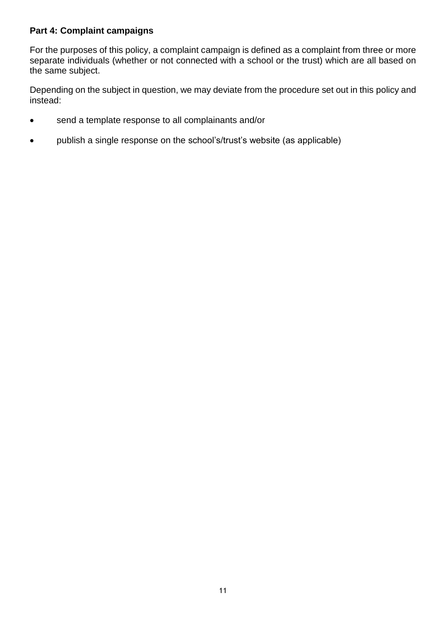#### **Part 4: Complaint campaigns**

For the purposes of this policy, a complaint campaign is defined as a complaint from three or more separate individuals (whether or not connected with a school or the trust) which are all based on the same subject.

Depending on the subject in question, we may deviate from the procedure set out in this policy and instead:

- send a template response to all complainants and/or
- publish a single response on the school's/trust's website (as applicable)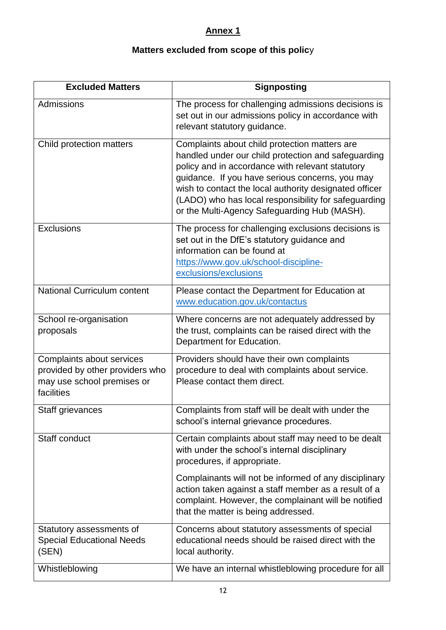## **Annex 1**

## **Matters excluded from scope of this polic**y

| <b>Excluded Matters</b>                                                                                  | <b>Signposting</b>                                                                                                                                                                                                                                                                                                                                                            |
|----------------------------------------------------------------------------------------------------------|-------------------------------------------------------------------------------------------------------------------------------------------------------------------------------------------------------------------------------------------------------------------------------------------------------------------------------------------------------------------------------|
| Admissions                                                                                               | The process for challenging admissions decisions is<br>set out in our admissions policy in accordance with<br>relevant statutory guidance.                                                                                                                                                                                                                                    |
| Child protection matters                                                                                 | Complaints about child protection matters are<br>handled under our child protection and safeguarding<br>policy and in accordance with relevant statutory<br>guidance. If you have serious concerns, you may<br>wish to contact the local authority designated officer<br>(LADO) who has local responsibility for safeguarding<br>or the Multi-Agency Safeguarding Hub (MASH). |
| <b>Exclusions</b>                                                                                        | The process for challenging exclusions decisions is<br>set out in the DfE's statutory guidance and<br>information can be found at<br>https://www.gov.uk/school-discipline-<br>exclusions/exclusions                                                                                                                                                                           |
| <b>National Curriculum content</b>                                                                       | Please contact the Department for Education at<br>www.education.gov.uk/contactus                                                                                                                                                                                                                                                                                              |
| School re-organisation<br>proposals                                                                      | Where concerns are not adequately addressed by<br>the trust, complaints can be raised direct with the<br>Department for Education.                                                                                                                                                                                                                                            |
| Complaints about services<br>provided by other providers who<br>may use school premises or<br>facilities | Providers should have their own complaints<br>procedure to deal with complaints about service.<br>Please contact them direct.                                                                                                                                                                                                                                                 |
| Staff grievances                                                                                         | Complaints from staff will be dealt with under the<br>school's internal grievance procedures.                                                                                                                                                                                                                                                                                 |
| Staff conduct                                                                                            | Certain complaints about staff may need to be dealt<br>with under the school's internal disciplinary<br>procedures, if appropriate.                                                                                                                                                                                                                                           |
|                                                                                                          | Complainants will not be informed of any disciplinary<br>action taken against a staff member as a result of a<br>complaint. However, the complainant will be notified<br>that the matter is being addressed.                                                                                                                                                                  |
| Statutory assessments of<br><b>Special Educational Needs</b><br>(SEN)                                    | Concerns about statutory assessments of special<br>educational needs should be raised direct with the<br>local authority.                                                                                                                                                                                                                                                     |
| Whistleblowing                                                                                           | We have an internal whistleblowing procedure for all                                                                                                                                                                                                                                                                                                                          |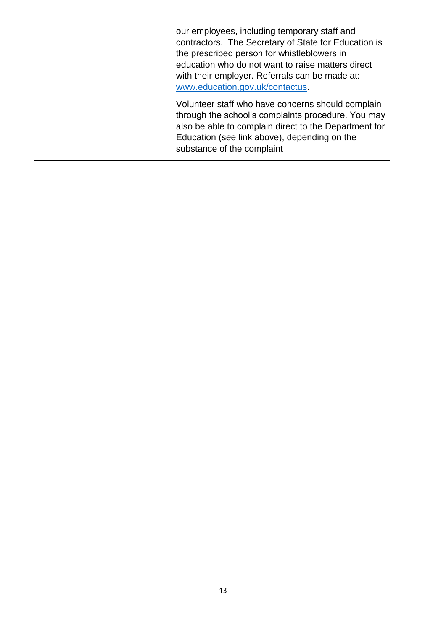| our employees, including temporary staff and<br>contractors. The Secretary of State for Education is<br>the prescribed person for whistleblowers in<br>education who do not want to raise matters direct<br>with their employer. Referrals can be made at:<br>www.education.gov.uk/contactus.<br>Volunteer staff who have concerns should complain |
|----------------------------------------------------------------------------------------------------------------------------------------------------------------------------------------------------------------------------------------------------------------------------------------------------------------------------------------------------|
| through the school's complaints procedure. You may<br>also be able to complain direct to the Department for<br>Education (see link above), depending on the<br>substance of the complaint                                                                                                                                                          |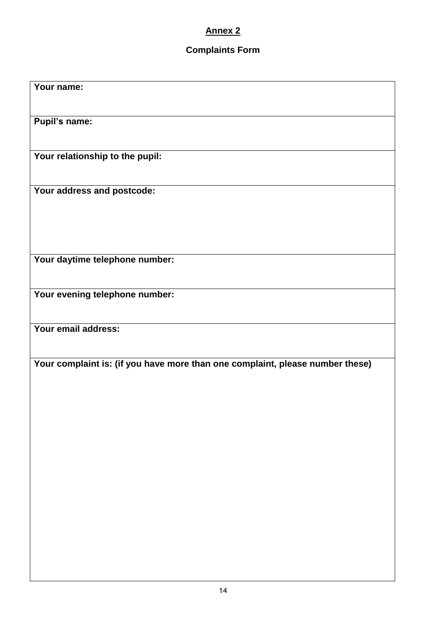### **Annex 2**

## **Complaints Form**

| Your name:                                                                    |
|-------------------------------------------------------------------------------|
|                                                                               |
| <b>Pupil's name:</b>                                                          |
| Your relationship to the pupil:                                               |
| Your address and postcode:                                                    |
| Your daytime telephone number:                                                |
| Your evening telephone number:                                                |
| Your email address:                                                           |
| Your complaint is: (if you have more than one complaint, please number these) |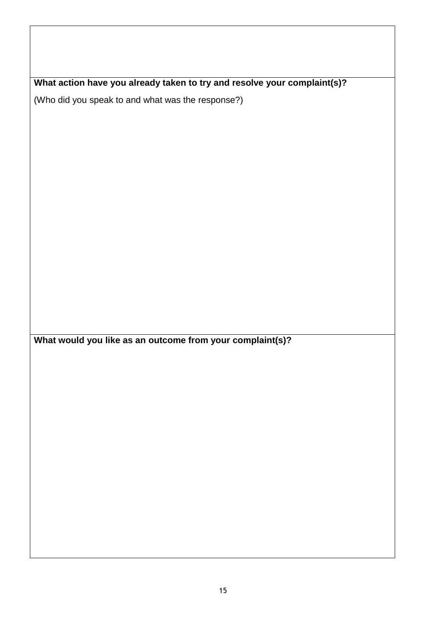**What action have you already taken to try and resolve your complaint(s)?**

(Who did you speak to and what was the response?)

**What would you like as an outcome from your complaint(s)?**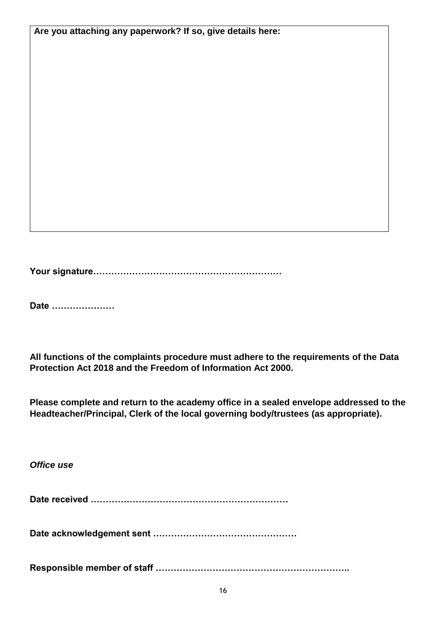**Are you attaching any paperwork? If so, give details here:**

**Your signature………………………………………………………** 

**Date …………………**

**All functions of the complaints procedure must adhere to the requirements of the Data Protection Act 2018 and the Freedom of Information Act 2000.**

**Please complete and return to the academy office in a sealed envelope addressed to the Headteacher/Principal, Clerk of the local governing body/trustees (as appropriate).**

*Office use*

**Date received …………………………………………………………**

**Date acknowledgement sent …………………………………………**

**Responsible member of staff ………………………………………………………..**